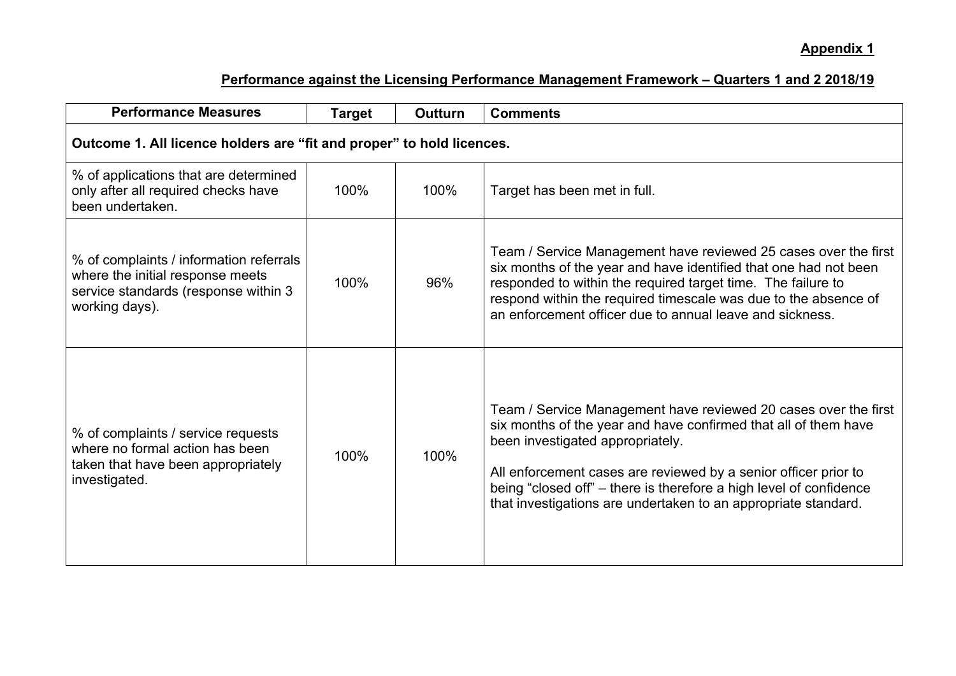## **Appendix 1**

| <b>Performance Measures</b>                                                                                                           | <b>Target</b> | <b>Outturn</b> | <b>Comments</b>                                                                                                                                                                                                                                                                                                                                                                   |  |
|---------------------------------------------------------------------------------------------------------------------------------------|---------------|----------------|-----------------------------------------------------------------------------------------------------------------------------------------------------------------------------------------------------------------------------------------------------------------------------------------------------------------------------------------------------------------------------------|--|
| Outcome 1. All licence holders are "fit and proper" to hold licences.                                                                 |               |                |                                                                                                                                                                                                                                                                                                                                                                                   |  |
| % of applications that are determined<br>only after all required checks have<br>been undertaken.                                      | 100%          | 100%           | Target has been met in full.                                                                                                                                                                                                                                                                                                                                                      |  |
| % of complaints / information referrals<br>where the initial response meets<br>service standards (response within 3<br>working days). | 100%          | 96%            | Team / Service Management have reviewed 25 cases over the first<br>six months of the year and have identified that one had not been<br>responded to within the required target time. The failure to<br>respond within the required timescale was due to the absence of<br>an enforcement officer due to annual leave and sickness.                                                |  |
| % of complaints / service requests<br>where no formal action has been<br>taken that have been appropriately<br>investigated.          | 100%          | 100%           | Team / Service Management have reviewed 20 cases over the first<br>six months of the year and have confirmed that all of them have<br>been investigated appropriately.<br>All enforcement cases are reviewed by a senior officer prior to<br>being "closed off" – there is therefore a high level of confidence<br>that investigations are undertaken to an appropriate standard. |  |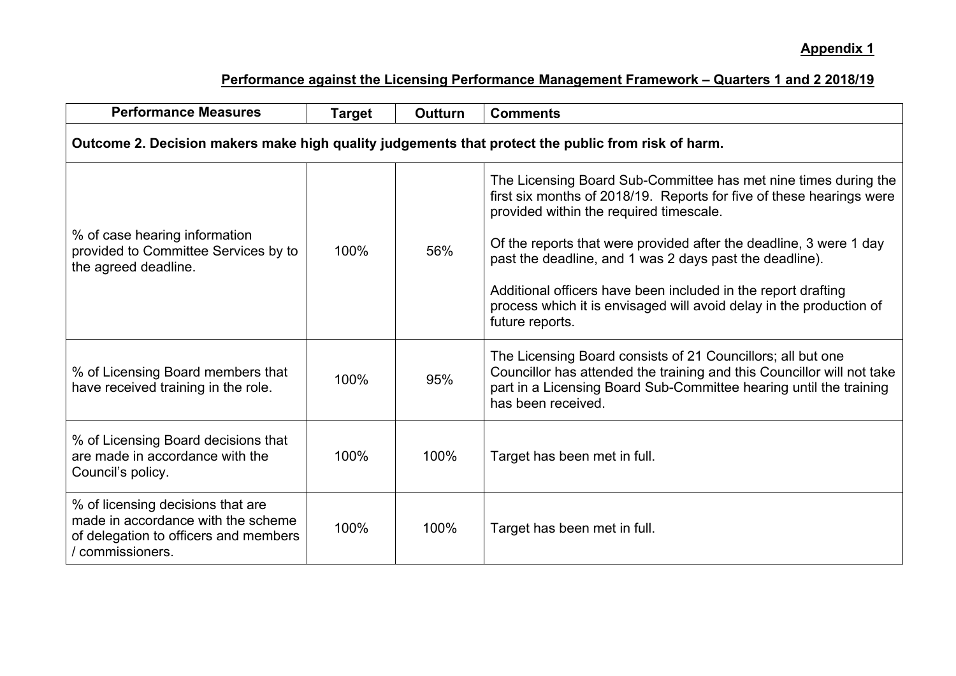| <b>Performance Measures</b>                                                                                                          | <b>Target</b> | <b>Outturn</b> | <b>Comments</b>                                                                                                                                                                                                                                                                                                                                                                                                                                                                |  |
|--------------------------------------------------------------------------------------------------------------------------------------|---------------|----------------|--------------------------------------------------------------------------------------------------------------------------------------------------------------------------------------------------------------------------------------------------------------------------------------------------------------------------------------------------------------------------------------------------------------------------------------------------------------------------------|--|
| Outcome 2. Decision makers make high quality judgements that protect the public from risk of harm.                                   |               |                |                                                                                                                                                                                                                                                                                                                                                                                                                                                                                |  |
| % of case hearing information<br>provided to Committee Services by to<br>the agreed deadline.                                        | 100%          | 56%            | The Licensing Board Sub-Committee has met nine times during the<br>first six months of 2018/19. Reports for five of these hearings were<br>provided within the required timescale.<br>Of the reports that were provided after the deadline, 3 were 1 day<br>past the deadline, and 1 was 2 days past the deadline).<br>Additional officers have been included in the report drafting<br>process which it is envisaged will avoid delay in the production of<br>future reports. |  |
| % of Licensing Board members that<br>have received training in the role.                                                             | 100%          | 95%            | The Licensing Board consists of 21 Councillors; all but one<br>Councillor has attended the training and this Councillor will not take<br>part in a Licensing Board Sub-Committee hearing until the training<br>has been received.                                                                                                                                                                                                                                              |  |
| % of Licensing Board decisions that<br>are made in accordance with the<br>Council's policy.                                          | 100%          | 100%           | Target has been met in full.                                                                                                                                                                                                                                                                                                                                                                                                                                                   |  |
| % of licensing decisions that are<br>made in accordance with the scheme<br>of delegation to officers and members<br>/ commissioners. | 100%          | 100%           | Target has been met in full.                                                                                                                                                                                                                                                                                                                                                                                                                                                   |  |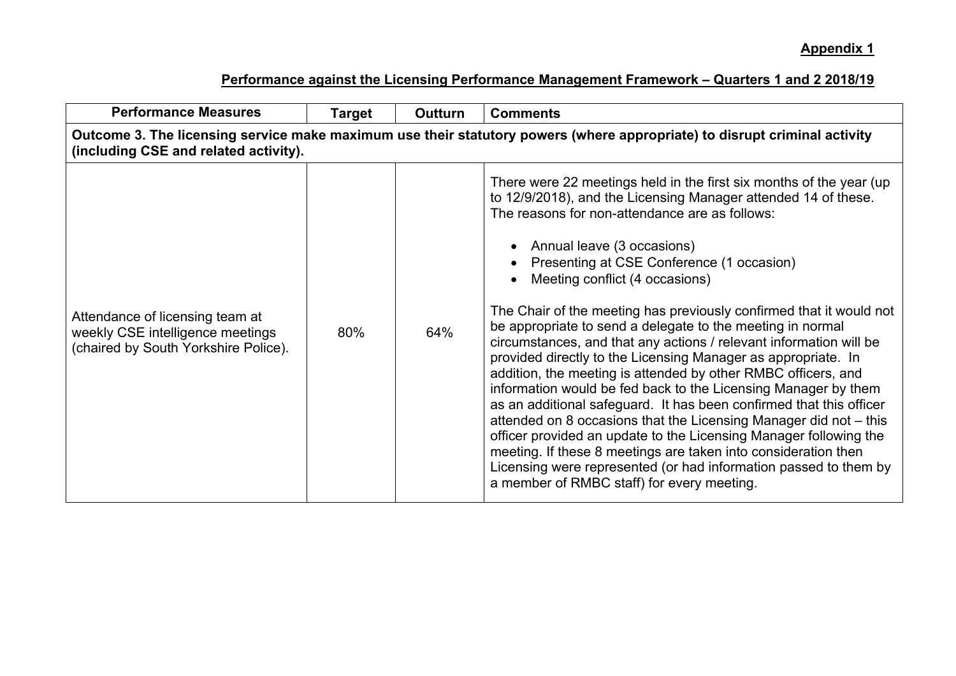| <b>Performance Measures</b>                                                                                                                                        | Target | Outturn | <b>Comments</b>                                                                                                                                                                                                                                                                                                                                                                                                                                                                                                                                                                                                                                                                                                                                                                                                                                                                                                                                                                                                                                                                                                          |  |  |
|--------------------------------------------------------------------------------------------------------------------------------------------------------------------|--------|---------|--------------------------------------------------------------------------------------------------------------------------------------------------------------------------------------------------------------------------------------------------------------------------------------------------------------------------------------------------------------------------------------------------------------------------------------------------------------------------------------------------------------------------------------------------------------------------------------------------------------------------------------------------------------------------------------------------------------------------------------------------------------------------------------------------------------------------------------------------------------------------------------------------------------------------------------------------------------------------------------------------------------------------------------------------------------------------------------------------------------------------|--|--|
| Outcome 3. The licensing service make maximum use their statutory powers (where appropriate) to disrupt criminal activity<br>(including CSE and related activity). |        |         |                                                                                                                                                                                                                                                                                                                                                                                                                                                                                                                                                                                                                                                                                                                                                                                                                                                                                                                                                                                                                                                                                                                          |  |  |
| Attendance of licensing team at<br>weekly CSE intelligence meetings<br>(chaired by South Yorkshire Police).                                                        | 80%    | 64%     | There were 22 meetings held in the first six months of the year (up<br>to 12/9/2018), and the Licensing Manager attended 14 of these.<br>The reasons for non-attendance are as follows:<br>Annual leave (3 occasions)<br>Presenting at CSE Conference (1 occasion)<br>Meeting conflict (4 occasions)<br>The Chair of the meeting has previously confirmed that it would not<br>be appropriate to send a delegate to the meeting in normal<br>circumstances, and that any actions / relevant information will be<br>provided directly to the Licensing Manager as appropriate. In<br>addition, the meeting is attended by other RMBC officers, and<br>information would be fed back to the Licensing Manager by them<br>as an additional safeguard. It has been confirmed that this officer<br>attended on 8 occasions that the Licensing Manager did not - this<br>officer provided an update to the Licensing Manager following the<br>meeting. If these 8 meetings are taken into consideration then<br>Licensing were represented (or had information passed to them by<br>a member of RMBC staff) for every meeting. |  |  |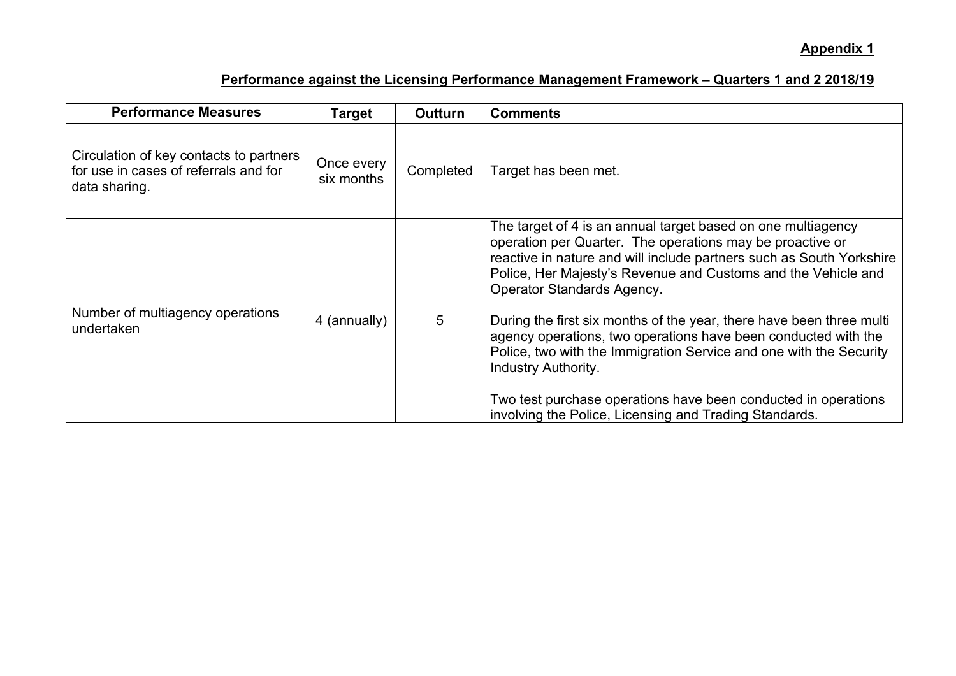| <b>Performance Measures</b>                                                                       | <b>Target</b>            | <b>Outturn</b> | <b>Comments</b>                                                                                                                                                                                                                                                                                                                                                                                                                                                                                                                                |
|---------------------------------------------------------------------------------------------------|--------------------------|----------------|------------------------------------------------------------------------------------------------------------------------------------------------------------------------------------------------------------------------------------------------------------------------------------------------------------------------------------------------------------------------------------------------------------------------------------------------------------------------------------------------------------------------------------------------|
| Circulation of key contacts to partners<br>for use in cases of referrals and for<br>data sharing. | Once every<br>six months | Completed      | Target has been met.                                                                                                                                                                                                                                                                                                                                                                                                                                                                                                                           |
| Number of multiagency operations<br>undertaken                                                    | 4 (annually)             | 5              | The target of 4 is an annual target based on one multiagency<br>operation per Quarter. The operations may be proactive or<br>reactive in nature and will include partners such as South Yorkshire<br>Police, Her Majesty's Revenue and Customs and the Vehicle and<br>Operator Standards Agency.<br>During the first six months of the year, there have been three multi<br>agency operations, two operations have been conducted with the<br>Police, two with the Immigration Service and one with the Security<br><b>Industry Authority.</b> |
|                                                                                                   |                          |                | Two test purchase operations have been conducted in operations<br>involving the Police, Licensing and Trading Standards.                                                                                                                                                                                                                                                                                                                                                                                                                       |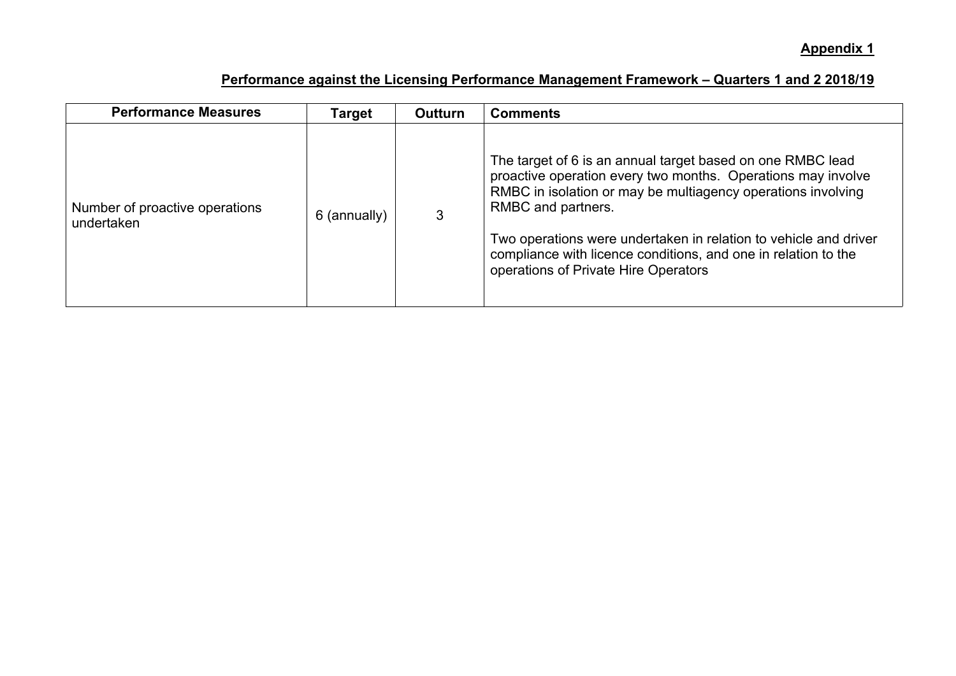| <b>Performance Measures</b>                  | Target       | <b>Outturn</b> | <b>Comments</b>                                                                                                                                                                                                                                                                                                                                                                                |
|----------------------------------------------|--------------|----------------|------------------------------------------------------------------------------------------------------------------------------------------------------------------------------------------------------------------------------------------------------------------------------------------------------------------------------------------------------------------------------------------------|
| Number of proactive operations<br>undertaken | 6 (annually) |                | The target of 6 is an annual target based on one RMBC lead<br>proactive operation every two months. Operations may involve<br>RMBC in isolation or may be multiagency operations involving<br>RMBC and partners.<br>Two operations were undertaken in relation to vehicle and driver<br>compliance with licence conditions, and one in relation to the<br>operations of Private Hire Operators |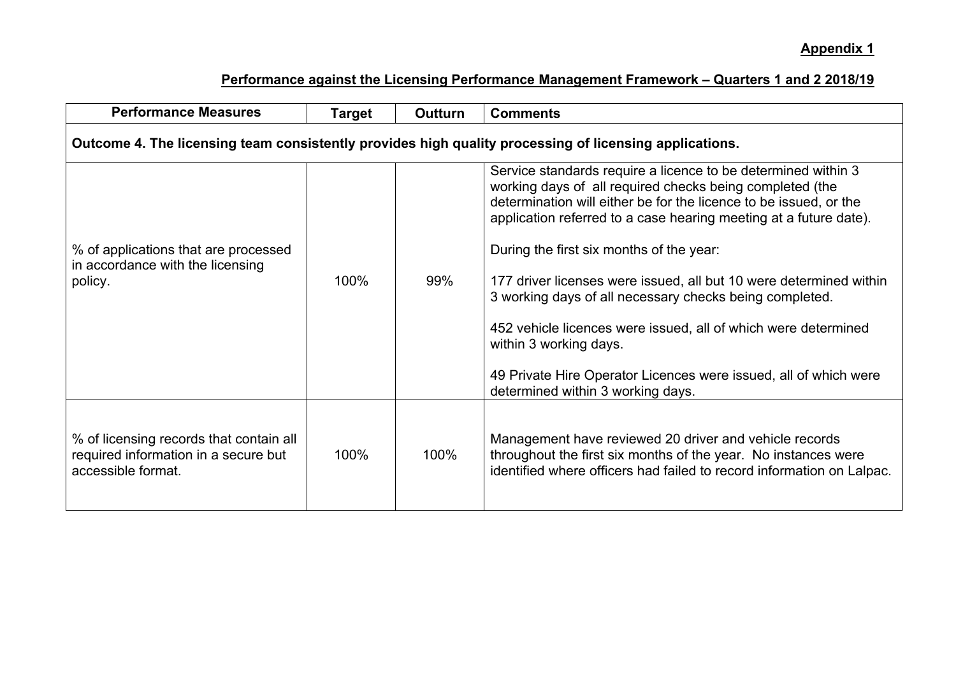| <b>Performance Measures</b>                                                                            | Target | <b>Outturn</b> | <b>Comments</b>                                                                                                                                                                                                                                                                                                                                                                                                                                                                                                                                                                                                                                       |  |
|--------------------------------------------------------------------------------------------------------|--------|----------------|-------------------------------------------------------------------------------------------------------------------------------------------------------------------------------------------------------------------------------------------------------------------------------------------------------------------------------------------------------------------------------------------------------------------------------------------------------------------------------------------------------------------------------------------------------------------------------------------------------------------------------------------------------|--|
| Outcome 4. The licensing team consistently provides high quality processing of licensing applications. |        |                |                                                                                                                                                                                                                                                                                                                                                                                                                                                                                                                                                                                                                                                       |  |
| % of applications that are processed<br>in accordance with the licensing<br>policy.                    | 100%   | 99%            | Service standards require a licence to be determined within 3<br>working days of all required checks being completed (the<br>determination will either be for the licence to be issued, or the<br>application referred to a case hearing meeting at a future date).<br>During the first six months of the year:<br>177 driver licenses were issued, all but 10 were determined within<br>3 working days of all necessary checks being completed.<br>452 vehicle licences were issued, all of which were determined<br>within 3 working days.<br>49 Private Hire Operator Licences were issued, all of which were<br>determined within 3 working days. |  |
| % of licensing records that contain all<br>required information in a secure but<br>accessible format.  | 100%   | 100%           | Management have reviewed 20 driver and vehicle records<br>throughout the first six months of the year. No instances were<br>identified where officers had failed to record information on Lalpac.                                                                                                                                                                                                                                                                                                                                                                                                                                                     |  |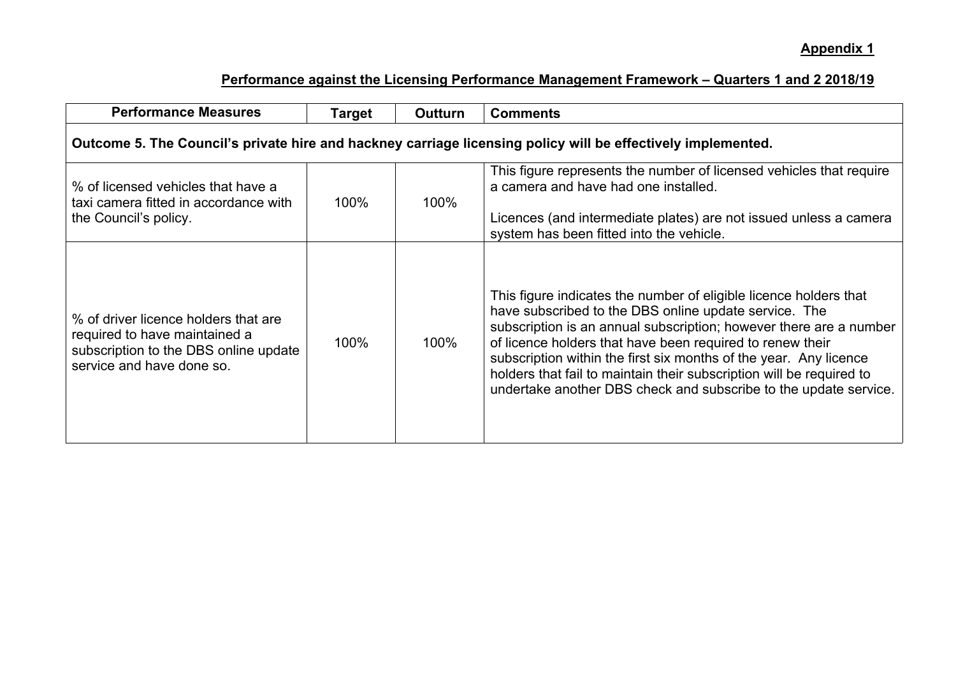| <b>Performance Measures</b>                                                                                                                 | Target | Outturn | <b>Comments</b>                                                                                                                                                                                                                                                                                                                                                                                                                                                                |  |
|---------------------------------------------------------------------------------------------------------------------------------------------|--------|---------|--------------------------------------------------------------------------------------------------------------------------------------------------------------------------------------------------------------------------------------------------------------------------------------------------------------------------------------------------------------------------------------------------------------------------------------------------------------------------------|--|
| Outcome 5. The Council's private hire and hackney carriage licensing policy will be effectively implemented.                                |        |         |                                                                                                                                                                                                                                                                                                                                                                                                                                                                                |  |
| % of licensed vehicles that have a<br>taxi camera fitted in accordance with<br>the Council's policy.                                        | 100%   | 100%    | This figure represents the number of licensed vehicles that require<br>a camera and have had one installed.<br>Licences (and intermediate plates) are not issued unless a camera<br>system has been fitted into the vehicle.                                                                                                                                                                                                                                                   |  |
| % of driver licence holders that are<br>required to have maintained a<br>subscription to the DBS online update<br>service and have done so. | 100%   | 100%    | This figure indicates the number of eligible licence holders that<br>have subscribed to the DBS online update service. The<br>subscription is an annual subscription; however there are a number<br>of licence holders that have been required to renew their<br>subscription within the first six months of the year. Any licence<br>holders that fail to maintain their subscription will be required to<br>undertake another DBS check and subscribe to the update service. |  |